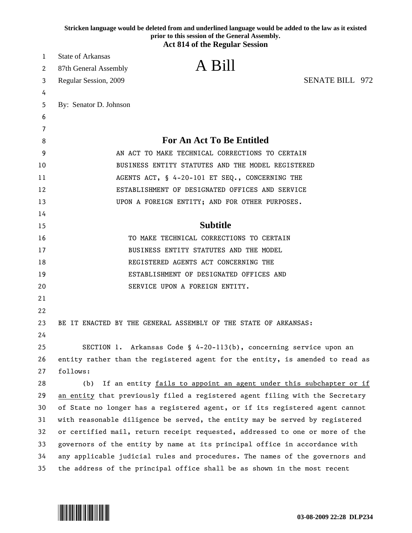|    | Stricken language would be deleted from and underlined language would be added to the law as it existed<br>prior to this session of the General Assembly.<br><b>Act 814 of the Regular Session</b> |
|----|----------------------------------------------------------------------------------------------------------------------------------------------------------------------------------------------------|
| 1  | <b>State of Arkansas</b>                                                                                                                                                                           |
| 2  | A Bill<br>87th General Assembly                                                                                                                                                                    |
| 3  | <b>SENATE BILL 972</b><br>Regular Session, 2009                                                                                                                                                    |
| 4  |                                                                                                                                                                                                    |
| 5  | By: Senator D. Johnson                                                                                                                                                                             |
| 6  |                                                                                                                                                                                                    |
| 7  |                                                                                                                                                                                                    |
| 8  | <b>For An Act To Be Entitled</b>                                                                                                                                                                   |
| 9  | AN ACT TO MAKE TECHNICAL CORRECTIONS TO CERTAIN                                                                                                                                                    |
| 10 | BUSINESS ENTITY STATUTES AND THE MODEL REGISTERED                                                                                                                                                  |
| 11 | AGENTS ACT, § 4-20-101 ET SEQ., CONCERNING THE                                                                                                                                                     |
| 12 | ESTABLISHMENT OF DESIGNATED OFFICES AND SERVICE                                                                                                                                                    |
| 13 | UPON A FOREIGN ENTITY; AND FOR OTHER PURPOSES.                                                                                                                                                     |
| 14 |                                                                                                                                                                                                    |
| 15 | <b>Subtitle</b>                                                                                                                                                                                    |
| 16 | TO MAKE TECHNICAL CORRECTIONS TO CERTAIN                                                                                                                                                           |
| 17 | BUSINESS ENTITY STATUTES AND THE MODEL                                                                                                                                                             |
| 18 | REGISTERED AGENTS ACT CONCERNING THE                                                                                                                                                               |
| 19 | ESTABLISHMENT OF DESIGNATED OFFICES AND                                                                                                                                                            |
| 20 | SERVICE UPON A FOREIGN ENTITY.                                                                                                                                                                     |
| 21 |                                                                                                                                                                                                    |
| 22 |                                                                                                                                                                                                    |
| 23 | BE IT ENACTED BY THE GENERAL ASSEMBLY OF THE STATE OF ARKANSAS:                                                                                                                                    |
| 24 |                                                                                                                                                                                                    |
| 25 | Arkansas Code § 4-20-113(b), concerning service upon an<br>SECTION 1.                                                                                                                              |
| 26 | entity rather than the registered agent for the entity, is amended to read as                                                                                                                      |
| 27 | follows:                                                                                                                                                                                           |
| 28 | If an entity fails to appoint an agent under this subchapter or if<br>(b)                                                                                                                          |
| 29 | an entity that previously filed a registered agent filing with the Secretary                                                                                                                       |
| 30 | of State no longer has a registered agent, or if its registered agent cannot                                                                                                                       |
| 31 | with reasonable diligence be served, the entity may be served by registered                                                                                                                        |
| 32 | or certified mail, return receipt requested, addressed to one or more of the                                                                                                                       |
| 33 | governors of the entity by name at its principal office in accordance with                                                                                                                         |
| 34 | any applicable judicial rules and procedures. The names of the governors and                                                                                                                       |
| 35 | the address of the principal office shall be as shown in the most recent                                                                                                                           |

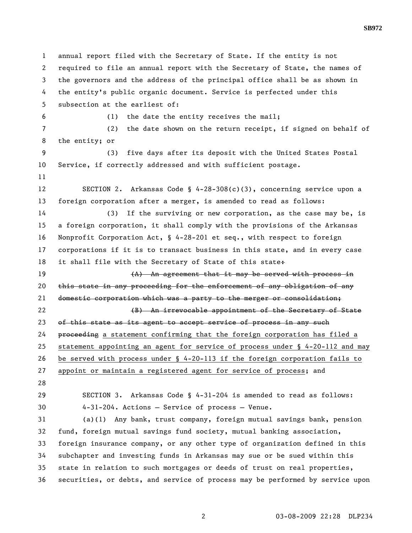1 annual report filed with the Secretary of State. If the entity is not 2 required to file an annual report with the Secretary of State, the names of 3 the governors and the address of the principal office shall be as shown in 4 the entity's public organic document. Service is perfected under this 5 subsection at the earliest of: 6 (1) the date the entity receives the mail; 7 (2) the date shown on the return receipt, if signed on behalf of 8 the entity; or 9 (3) five days after its deposit with the United States Postal 10 Service, if correctly addressed and with sufficient postage. 11 12 SECTION 2. Arkansas Code § 4-28-308(c)(3), concerning service upon a 13 foreign corporation after a merger, is amended to read as follows: 14 (3) If the surviving or new corporation, as the case may be, is 15 a foreign corporation, it shall comply with the provisions of the Arkansas 16 Nonprofit Corporation Act, § 4-28-201 et seq., with respect to foreign 17 corporations if it is to transact business in this state, and in every case 18 it shall file with the Secretary of State of this state+ 19 19 19 (A) An agreement that it may be served with process in 20 this state in any proceeding for the enforcement of any obligation of any 21 domestic corporation which was a party to the merger or consolidation; 22 **6 CM** (B) An irrevocable appointment of the Secretary of State 23 of this state as its agent to accept service of process in any such 24 proceeding a statement confirming that the foreign corporation has filed a 25 statement appointing an agent for service of process under § 4-20-112 and may 26 be served with process under § 4-20-113 if the foreign corporation fails to 27 appoint or maintain a registered agent for service of process; and 28 29 SECTION 3. Arkansas Code § 4-31-204 is amended to read as follows: 30 4-31-204. Actions — Service of process — Venue. 31 (a)(1) Any bank, trust company, foreign mutual savings bank, pension 32 fund, foreign mutual savings fund society, mutual banking association, 33 foreign insurance company, or any other type of organization defined in this 34 subchapter and investing funds in Arkansas may sue or be sued within this 35 state in relation to such mortgages or deeds of trust on real properties, 36 securities, or debts, and service of process may be performed by service upon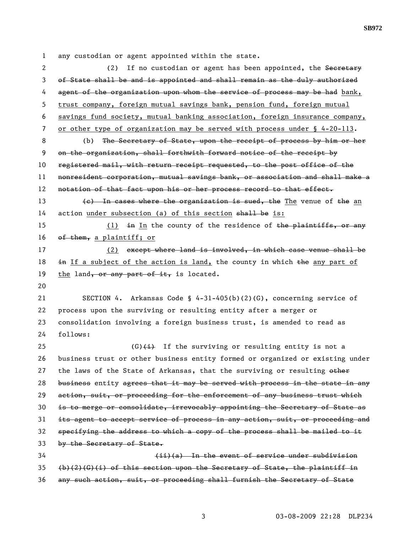1 any custodian or agent appointed within the state.

2 (2) If no custodian or agent has been appointed, the Secretary 3 of State shall be and is appointed and shall remain as the duly authorized 4 agent of the organization upon whom the service of process may be had bank, 5 trust company, foreign mutual savings bank, pension fund, foreign mutual 6 savings fund society, mutual banking association, foreign insurance company, 7 or other type of organization may be served with process under § 4-20-113. 8 (b) The Secretary of State, upon the receipt of process by him or her 9 on the organization, shall forthwith forward notice of the receipt by 10 registered mail, with return receipt requested, to the post office of the 11 nonresident corporation, mutual savings bank, or association and shall make a 12 notation of that fact upon his or her process record to that effect. 13  $\left\{e\right\}$  In cases where the organization is sued, the The venue of the an 14 action under subsection (a) of this section shall be is: 15 (1) in In the county of the residence of the plaintiffs, or any 16 of them, a plaintiff; or 17 (2) except where land is involved, in which case venue shall be 18  $\pm$ **n** If a subject of the action is land, the county in which  $\pm$ **he** any part of 19 the land, or any part of it, is located. 20 21 SECTION 4. Arkansas Code § 4-31-405(b)(2)(G), concerning service of 22 process upon the surviving or resulting entity after a merger or 23 consolidation involving a foreign business trust, is amended to read as 24 follows: 25 (G) $\leftrightarrow$  If the surviving or resulting entity is not a 26 business trust or other business entity formed or organized or existing under 27 the laws of the State of Arkansas, that the surviving or resulting other 28 business entity agrees that it may be served with process in the state in any 29 action, suit, or proceeding for the enforcement of any business trust which 30 is to merge or consolidate, irrevocably appointing the Secretary of State as 31 its agent to accept service of process in any action, suit, or proceeding and 32 specifying the address to which a copy of the process shall be mailed to it 33 by the Secretary of State. 34 (ii)(a) In the event of service under subdivision  $35$  (b)(2)(G)(i) of this section upon the Secretary of State, the plaintiff in 36 any such action, suit, or proceeding shall furnish the Secretary of State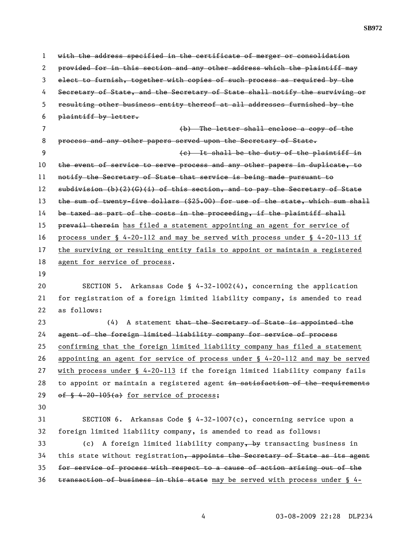1 with the address specified in the certificate of merger or consolidation 2 provided for in this section and any other address which the plaintiff may 3 elect to furnish, together with copies of such process as required by the 4 Secretary of State, and the Secretary of State shall notify the surviving or 5 resulting other business entity thereof at all addresses furnished by the 6 plaintiff by letter. 7 (b) The letter shall enclose a copy of the 8 process and any other papers served upon the Secretary of State. 9 (c) It shall be the duty of the plaintiff in 10 the event of service to serve process and any other papers in duplicate, to 11 notify the Secretary of State that service is being made pursuant to 12 subdivision (b)(2)(G)(i) of this section, and to pay the Secretary of State 13 the sum of twenty-five dollars (\$25.00) for use of the state, which sum shall 14 be taxed as part of the costs in the proceeding, if the plaintiff shall 15 prevail therein has filed a statement appointing an agent for service of 16 process under § 4-20-112 and may be served with process under § 4-20-113 if 17 the surviving or resulting entity fails to appoint or maintain a registered 18 agent for service of process. 19 20 SECTION 5. Arkansas Code § 4-32-1002(4), concerning the application 21 for registration of a foreign limited liability company, is amended to read 22 as follows: 23 (4) A statement that the Secretary of State is appointed the 24 agent of the foreign limited liability company for service of process 25 confirming that the foreign limited liability company has filed a statement 26 appointing an agent for service of process under § 4-20-112 and may be served 27 with process under § 4-20-113 if the foreign limited liability company fails 28 to appoint or maintain a registered agent in satisfaction of the requirements 29 of  $\frac{6}{5}$  4-20-105(a) for service of process; 30 31 SECTION 6. Arkansas Code § 4-32-1007(c), concerning service upon a 32 foreign limited liability company, is amended to read as follows: 33 (c) A foreign limited liability company, by transacting business in 34 this state without registration, appoints the Secretary of State as its agent 35 for service of process with respect to a cause of action arising out of the  $36$  transaction of business in this state may be served with process under § 4-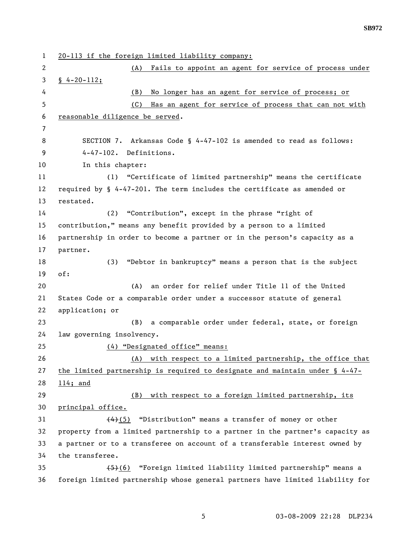1 20-113 if the foreign limited liability company: 2 (A) Fails to appoint an agent for service of process under 3 § 4-20-112; 4 (B) No longer has an agent for service of process; or 5 (C) Has an agent for service of process that can not with 6 reasonable diligence be served. 7 8 SECTION 7. Arkansas Code § 4-47-102 is amended to read as follows: 9 4-47-102. Definitions. 10 In this chapter: 11 (1) "Certificate of limited partnership" means the certificate 12 required by § 4-47-201. The term includes the certificate as amended or 13 restated. 14 (2) "Contribution", except in the phrase "right of 15 contribution," means any benefit provided by a person to a limited 16 partnership in order to become a partner or in the person's capacity as a 17 partner. 18 (3) "Debtor in bankruptcy" means a person that is the subject 19 of: 20 (A) an order for relief under Title 11 of the United 21 States Code or a comparable order under a successor statute of general 22 application; or 23 (B) a comparable order under federal, state, or foreign 24 law governing insolvency. 25 (4) "Designated office" means: 26 (A) with respect to a limited partnership, the office that 27 the limited partnership is required to designate and maintain under § 4-47- 28 114; and 29 (B) with respect to a foreign limited partnership, its 30 principal office. 31 (4)(5) "Distribution" means a transfer of money or other 32 property from a limited partnership to a partner in the partner's capacity as 33 a partner or to a transferee on account of a transferable interest owned by 34 the transferee. 35 (5)(6) "Foreign limited liability limited partnership" means a 36 foreign limited partnership whose general partners have limited liability for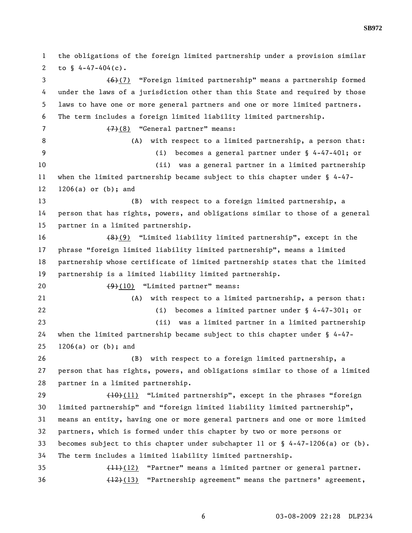1 the obligations of the foreign limited partnership under a provision similar 2 to  $$4-47-404(c)$ . 3 (6)(7) "Foreign limited partnership" means a partnership formed 4 under the laws of a jurisdiction other than this State and required by those 5 laws to have one or more general partners and one or more limited partners. 6 The term includes a foreign limited liability limited partnership. 7 (7)(8) "General partner" means: 8 (A) with respect to a limited partnership, a person that: 9 (i) becomes a general partner under § 4-47-401; or 10 (ii) was a general partner in a limited partnership 11 when the limited partnership became subject to this chapter under § 4-47- 12 1206(a) or (b); and 13 (B) with respect to a foreign limited partnership, a 14 person that has rights, powers, and obligations similar to those of a general 15 partner in a limited partnership. 16 (8)(9) "Limited liability limited partnership", except in the 17 phrase "foreign limited liability limited partnership", means a limited 18 partnership whose certificate of limited partnership states that the limited 19 partnership is a limited liability limited partnership. 20 (9)(10) "Limited partner" means: 21 (A) with respect to a limited partnership, a person that: 22 (i) becomes a limited partner under § 4-47-301; or 23 (ii) was a limited partner in a limited partnership 24 when the limited partnership became subject to this chapter under § 4-47- 25 1206(a) or (b); and 26 (B) with respect to a foreign limited partnership, a 27 person that has rights, powers, and obligations similar to those of a limited 28 partner in a limited partnership. 29 (10)(11) "Limited partnership", except in the phrases "foreign 30 limited partnership" and "foreign limited liability limited partnership", 31 means an entity, having one or more general partners and one or more limited 32 partners, which is formed under this chapter by two or more persons or 33 becomes subject to this chapter under subchapter 11 or § 4-47-1206(a) or (b). 34 The term includes a limited liability limited partnership. 35 (11)(12) "Partner" means a limited partner or general partner. 36 (12)(13) "Partnership agreement" means the partners' agreement,

6 03-08-2009 22:28 DLP234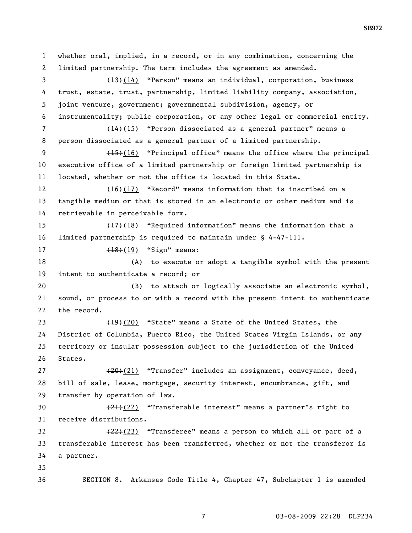1 whether oral, implied, in a record, or in any combination, concerning the 2 limited partnership. The term includes the agreement as amended. 3 (13)(14) "Person" means an individual, corporation, business 4 trust, estate, trust, partnership, limited liability company, association, 5 joint venture, government; governmental subdivision, agency, or 6 instrumentality; public corporation, or any other legal or commercial entity. 7 (14)(15) "Person dissociated as a general partner" means a 8 person dissociated as a general partner of a limited partnership. 9 (15)(16) "Principal office" means the office where the principal 10 executive office of a limited partnership or foreign limited partnership is 11 located, whether or not the office is located in this State. 12 (16)(17) "Record" means information that is inscribed on a 13 tangible medium or that is stored in an electronic or other medium and is 14 retrievable in perceivable form. 15 (17)(18) "Required information" means the information that a 16 limited partnership is required to maintain under § 4-47-111. 17 (18)(19) "Sign" means: 18 (A) to execute or adopt a tangible symbol with the present 19 intent to authenticate a record; or 20 (B) to attach or logically associate an electronic symbol, 21 sound, or process to or with a record with the present intent to authenticate 22 the record. 23 (19)(20) "State" means a State of the United States, the 24 District of Columbia, Puerto Rico, the United States Virgin Islands, or any 25 territory or insular possession subject to the jurisdiction of the United 26 States. 27 (20)(21) "Transfer" includes an assignment, conveyance, deed, 28 bill of sale, lease, mortgage, security interest, encumbrance, gift, and 29 transfer by operation of law. 30 (21)(22) "Transferable interest" means a partner's right to 31 receive distributions. 32  $(22)(23)$  "Transferee" means a person to which all or part of a 33 transferable interest has been transferred, whether or not the transferor is 34 a partner. 35 36 SECTION 8. Arkansas Code Title 4, Chapter 47, Subchapter 1 is amended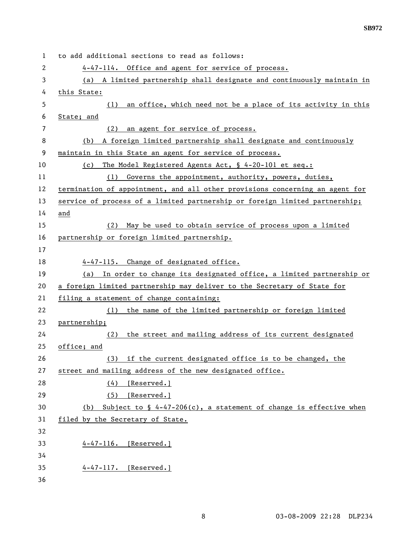| 1  | to add additional sections to read as follows:                                       |
|----|--------------------------------------------------------------------------------------|
| 2  | 4-47-114. Office and agent for service of process.                                   |
| 3  | (a) A limited partnership shall designate and continuously maintain in               |
| 4  | this State:                                                                          |
| 5  | an office, which need not be a place of its activity in this<br>(1)                  |
| 6  | State; and                                                                           |
| 7  | an agent for service of process.<br>(2)                                              |
| 8  | A foreign limited partnership shall designate and continuously<br>(b)                |
| 9  | maintain in this State an agent for service of process.                              |
| 10 | The Model Registered Agents Act, § 4-20-101 et seq.:<br>(c)                          |
| 11 | (1) Governs the appointment, authority, powers, duties,                              |
| 12 | termination of appointment, and all other provisions concerning an agent for         |
| 13 | service of process of a limited partnership or foreign limited partnership;          |
| 14 | and                                                                                  |
| 15 | May be used to obtain service of process upon a limited<br>(2)                       |
| 16 | partnership or foreign limited partnership.                                          |
| 17 |                                                                                      |
| 18 | 4-47-115. Change of designated office.                                               |
| 19 | (a) In order to change its designated office, a limited partnership or               |
| 20 | a foreign limited partnership may deliver to the Secretary of State for              |
| 21 | filing a statement of change containing:                                             |
| 22 | (1) the name of the limited partnership or foreign limited                           |
| 23 | partnership;                                                                         |
| 24 |                                                                                      |
|    | the street and mailing address of its current designated<br>(2)                      |
| 25 | office; and                                                                          |
| 26 | (3) if the current designated office is to be changed, the                           |
| 27 | street and mailing address of the new designated office.                             |
| 28 | (4)<br>[Reserved.]                                                                   |
| 29 | (5)<br>[Reserved.]                                                                   |
| 30 | Subject to $\frac{1}{2}$ 4-47-206(c), a statement of change is effective when<br>(b) |
| 31 | filed by the Secretary of State.                                                     |
| 32 |                                                                                      |
| 33 | $4-47-116.$ [Reserved.]                                                              |
| 34 |                                                                                      |
| 35 | 4-47-117. [Reserved.]                                                                |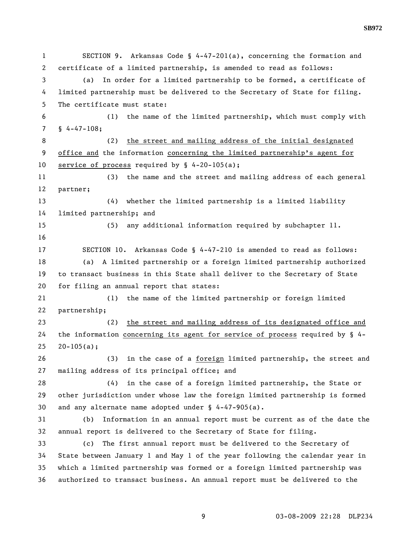1 SECTION 9. Arkansas Code § 4-47-201(a), concerning the formation and 2 certificate of a limited partnership, is amended to read as follows: 3 (a) In order for a limited partnership to be formed, a certificate of 4 limited partnership must be delivered to the Secretary of State for filing. 5 The certificate must state: 6 (1) the name of the limited partnership, which must comply with 7 § 4-47-108; 8 (2) the street and mailing address of the initial designated 9 office and the information concerning the limited partnership's agent for 10 service of process required by § 4-20-105(a); 11 (3) the name and the street and mailing address of each general 12 partner; 13 (4) whether the limited partnership is a limited liability 14 limited partnership; and 15 (5) any additional information required by subchapter 11. 16 17 SECTION 10. Arkansas Code § 4-47-210 is amended to read as follows: 18 (a) A limited partnership or a foreign limited partnership authorized 19 to transact business in this State shall deliver to the Secretary of State 20 for filing an annual report that states: 21 (1) the name of the limited partnership or foreign limited 22 partnership; 23 (2) the street and mailing address of its designated office and 24 the information concerning its agent for service of process required by § 4-  $25 \quad 20 - 105(a);$ 26 (3) in the case of a foreign limited partnership, the street and 27 mailing address of its principal office; and 28 (4) in the case of a foreign limited partnership, the State or 29 other jurisdiction under whose law the foreign limited partnership is formed 30 and any alternate name adopted under § 4-47-905(a). 31 (b) Information in an annual report must be current as of the date the 32 annual report is delivered to the Secretary of State for filing. 33 (c) The first annual report must be delivered to the Secretary of 34 State between January 1 and May 1 of the year following the calendar year in 35 which a limited partnership was formed or a foreign limited partnership was 36 authorized to transact business. An annual report must be delivered to the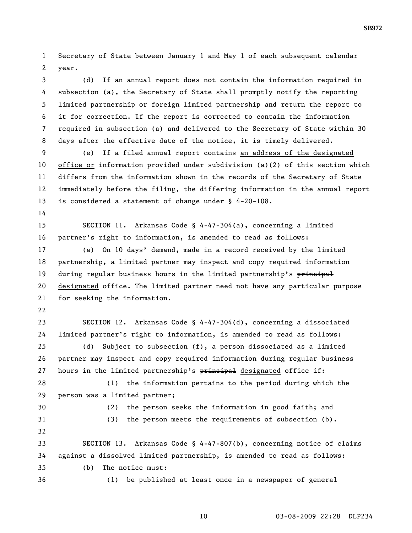1 Secretary of State between January 1 and May 1 of each subsequent calendar 2 year.

3 (d) If an annual report does not contain the information required in 4 subsection (a), the Secretary of State shall promptly notify the reporting 5 limited partnership or foreign limited partnership and return the report to 6 it for correction. If the report is corrected to contain the information 7 required in subsection (a) and delivered to the Secretary of State within 30 8 days after the effective date of the notice, it is timely delivered.

9 (e) If a filed annual report contains an address of the designated 10 office or information provided under subdivision (a)(2) of this section which 11 differs from the information shown in the records of the Secretary of State 12 immediately before the filing, the differing information in the annual report 13 is considered a statement of change under § 4-20-108.

14

15 SECTION 11. Arkansas Code § 4-47-304(a), concerning a limited 16 partner's right to information, is amended to read as follows:

17 (a) On 10 days' demand, made in a record received by the limited 18 partnership, a limited partner may inspect and copy required information 19 during regular business hours in the limited partnership's principal 20 designated office. The limited partner need not have any particular purpose 21 for seeking the information.

22

23 SECTION 12. Arkansas Code § 4-47-304(d), concerning a dissociated 24 limited partner's right to information, is amended to read as follows:

25 (d) Subject to subsection (f), a person dissociated as a limited 26 partner may inspect and copy required information during regular business 27 hours in the limited partnership's  $\frac{1}{2}$  host designated office if:

28 (1) the information pertains to the period during which the 29 person was a limited partner;

30 (2) the person seeks the information in good faith; and 31 (3) the person meets the requirements of subsection (b). 32 33 SECTION 13. Arkansas Code § 4-47-807(b), concerning notice of claims 34 against a dissolved limited partnership, is amended to read as follows: 35 (b) The notice must: 36 (1) be published at least once in a newspaper of general

10 03-08-2009 22:28 DLP234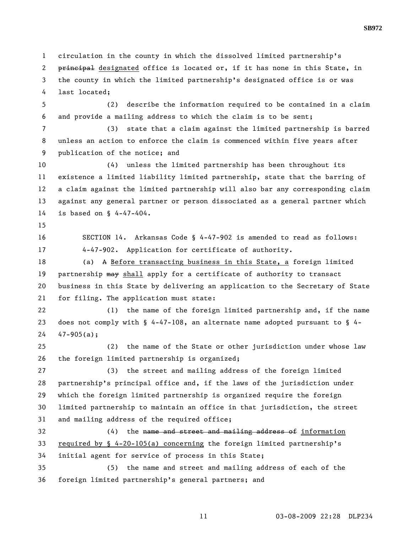1 circulation in the county in which the dissolved limited partnership's 2 principal designated office is located or, if it has none in this State, in 3 the county in which the limited partnership's designated office is or was 4 last located;

5 (2) describe the information required to be contained in a claim 6 and provide a mailing address to which the claim is to be sent;

7 (3) state that a claim against the limited partnership is barred 8 unless an action to enforce the claim is commenced within five years after 9 publication of the notice; and

10 (4) unless the limited partnership has been throughout its 11 existence a limited liability limited partnership, state that the barring of 12 a claim against the limited partnership will also bar any corresponding claim 13 against any general partner or person dissociated as a general partner which 14 is based on § 4-47-404.

15

16 SECTION 14. Arkansas Code § 4-47-902 is amended to read as follows: 17 4-47-902. Application for certificate of authority.

18 (a) A <u>Before transacting business in this State, a</u> foreign limited 19 partnership may shall apply for a certificate of authority to transact 20 business in this State by delivering an application to the Secretary of State 21 for filing. The application must state:

22 (1) the name of the foreign limited partnership and, if the name 23 does not comply with § 4-47-108, an alternate name adopted pursuant to § 4-  $24 \quad 47 - 905(a);$ 

25 (2) the name of the State or other jurisdiction under whose law 26 the foreign limited partnership is organized;

27 (3) the street and mailing address of the foreign limited 28 partnership's principal office and, if the laws of the jurisdiction under 29 which the foreign limited partnership is organized require the foreign 30 limited partnership to maintain an office in that jurisdiction, the street 31 and mailing address of the required office;

32 (4) the name and street and mailing address of information 33 required by § 4-20-105(a) concerning the foreign limited partnership's 34 initial agent for service of process in this State;

35 (5) the name and street and mailing address of each of the 36 foreign limited partnership's general partners; and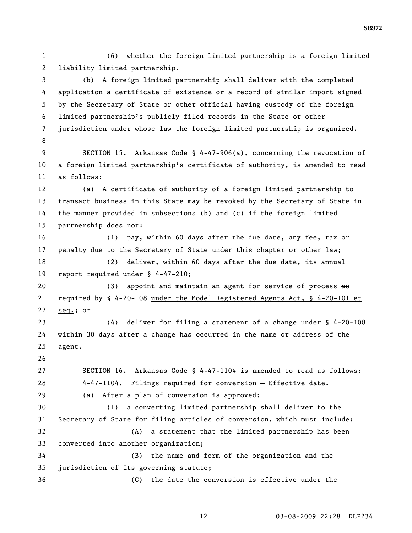1 (6) whether the foreign limited partnership is a foreign limited 2 liability limited partnership.

3 (b) A foreign limited partnership shall deliver with the completed 4 application a certificate of existence or a record of similar import signed 5 by the Secretary of State or other official having custody of the foreign 6 limited partnership's publicly filed records in the State or other 7 jurisdiction under whose law the foreign limited partnership is organized. 8

9 SECTION 15. Arkansas Code § 4-47-906(a), concerning the revocation of 10 a foreign limited partnership's certificate of authority, is amended to read 11 as follows:

12 (a) A certificate of authority of a foreign limited partnership to 13 transact business in this State may be revoked by the Secretary of State in 14 the manner provided in subsections (b) and (c) if the foreign limited 15 partnership does not:

16 (1) pay, within 60 days after the due date, any fee, tax or 17 penalty due to the Secretary of State under this chapter or other law;

18 (2) deliver, within 60 days after the due date, its annual 19 report required under § 4-47-210;

20 (3) appoint and maintain an agent for service of process  $\frac{1}{2}$ 21 required by § 4-20-108 under the Model Registered Agents Act, § 4-20-101 et 22 seq.; or

23 (4) deliver for filing a statement of a change under § 4-20-108 24 within 30 days after a change has occurred in the name or address of the 25 agent.

26

27 SECTION 16. Arkansas Code § 4-47-1104 is amended to read as follows: 28 4-47-1104. Filings required for conversion — Effective date. 29 (a) After a plan of conversion is approved:

30 (1) a converting limited partnership shall deliver to the 31 Secretary of State for filing articles of conversion, which must include: 32 (A) a statement that the limited partnership has been 33 converted into another organization; 34 (B) the name and form of the organization and the

35 jurisdiction of its governing statute;

36 (C) the date the conversion is effective under the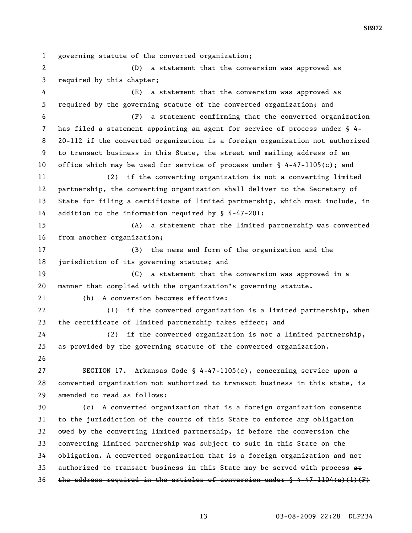1 governing statute of the converted organization; 2 (D) a statement that the conversion was approved as 3 required by this chapter; 4 (E) a statement that the conversion was approved as 5 required by the governing statute of the converted organization; and 6 (F) a statement confirming that the converted organization 7 has filed a statement appointing an agent for service of process under § 4- 8 20-112 if the converted organization is a foreign organization not authorized 9 to transact business in this State, the street and mailing address of an 10 office which may be used for service of process under § 4-47-1105(c); and 11 (2) if the converting organization is not a converting limited 12 partnership, the converting organization shall deliver to the Secretary of 13 State for filing a certificate of limited partnership, which must include, in 14 addition to the information required by § 4-47-201: 15 (A) a statement that the limited partnership was converted 16 from another organization; 17 (B) the name and form of the organization and the 18 jurisdiction of its governing statute; and 19 (C) a statement that the conversion was approved in a 20 manner that complied with the organization's governing statute. 21 (b) A conversion becomes effective: 22 (1) if the converted organization is a limited partnership, when 23 the certificate of limited partnership takes effect; and 24 (2) if the converted organization is not a limited partnership, 25 as provided by the governing statute of the converted organization. 26 27 SECTION 17. Arkansas Code § 4-47-1105(c), concerning service upon a 28 converted organization not authorized to transact business in this state, is 29 amended to read as follows: 30 (c) A converted organization that is a foreign organization consents 31 to the jurisdiction of the courts of this State to enforce any obligation 32 owed by the converting limited partnership, if before the conversion the 33 converting limited partnership was subject to suit in this State on the 34 obligation. A converted organization that is a foreign organization and not 35 authorized to transact business in this State may be served with process  $a \theta$ 36 the address required in the articles of conversion under  $\S$  4-47-1104(a)(1)(F)